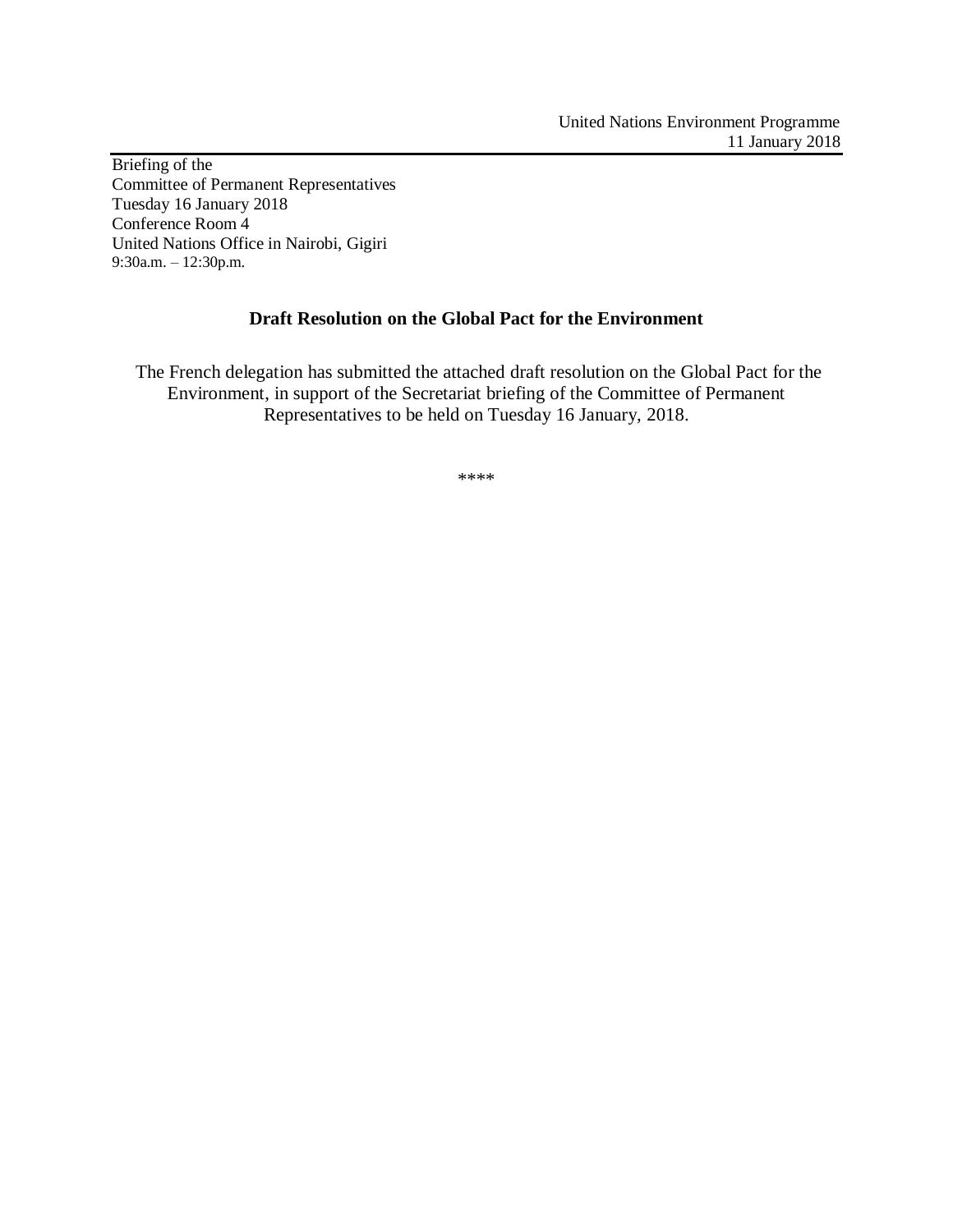Briefing of the Committee of Permanent Representatives Tuesday 16 January 2018 Conference Room 4 United Nations Office in Nairobi, Gigiri 9:30a.m. – 12:30p.m.

## **Draft Resolution on the Global Pact for the Environment**

The French delegation has submitted the attached draft resolution on the Global Pact for the Environment, in support of the Secretariat briefing of the Committee of Permanent Representatives to be held on Tuesday 16 January, 2018.

\*\*\*\*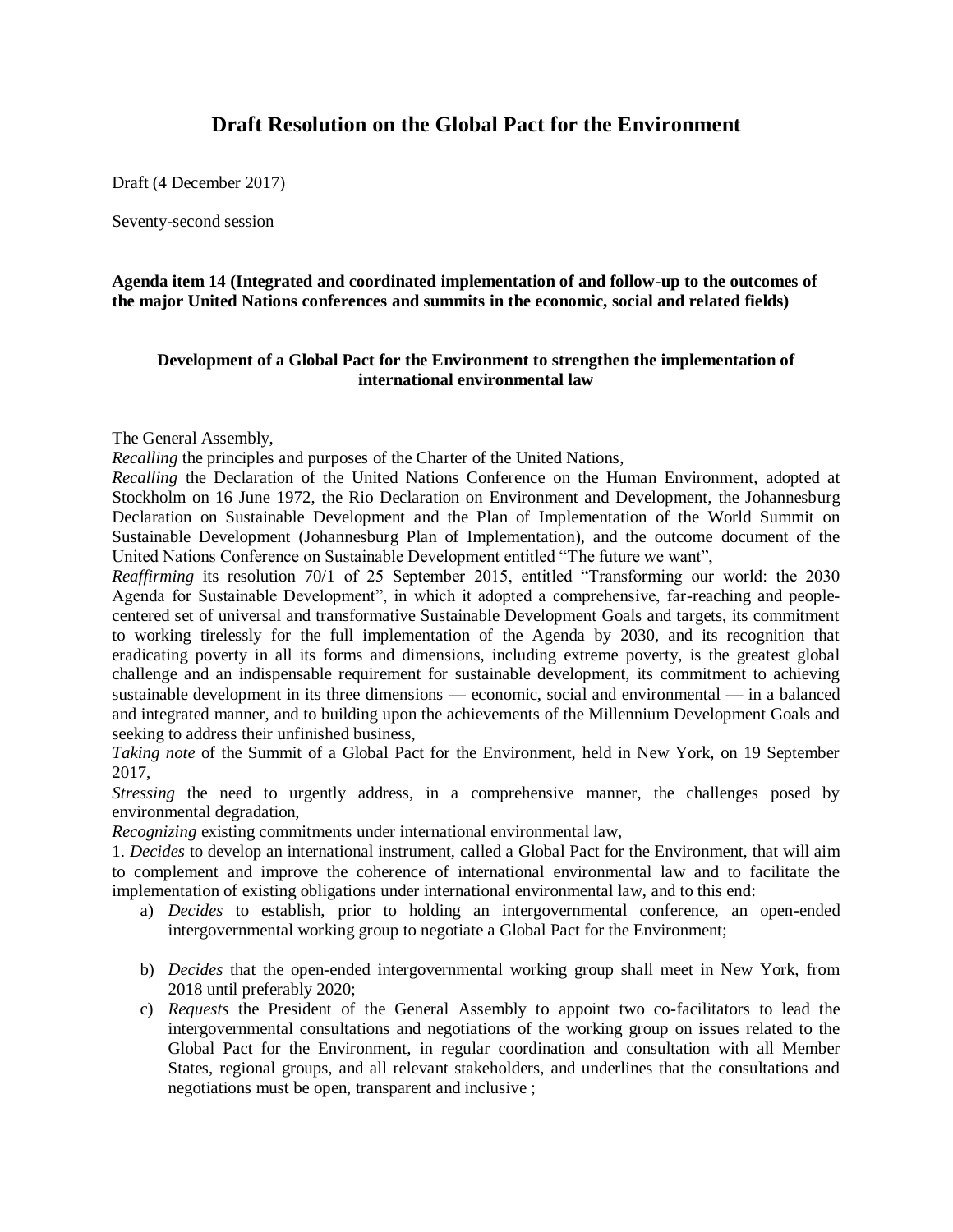## **Draft Resolution on the Global Pact for the Environment**

Draft (4 December 2017)

Seventy-second session

**Agenda item 14 (Integrated and coordinated implementation of and follow-up to the outcomes of the major United Nations conferences and summits in the economic, social and related fields)**

## **Development of a Global Pact for the Environment to strengthen the implementation of international environmental law**

The General Assembly,

*Recalling* the principles and purposes of the Charter of the United Nations,

*Recalling* the Declaration of the United Nations Conference on the Human Environment, adopted at Stockholm on 16 June 1972, the Rio Declaration on Environment and Development, the Johannesburg Declaration on Sustainable Development and the Plan of Implementation of the World Summit on Sustainable Development (Johannesburg Plan of Implementation), and the outcome document of the United Nations Conference on Sustainable Development entitled "The future we want",

*Reaffirming* its resolution [70/1](https://undocs.org/A/RES/70/1) of 25 September 2015, entitled "Transforming our world: the 2030 Agenda for Sustainable Development", in which it adopted a comprehensive, far-reaching and peoplecentered set of universal and transformative Sustainable Development Goals and targets, its commitment to working tirelessly for the full implementation of the Agenda by 2030, and its recognition that eradicating poverty in all its forms and dimensions, including extreme poverty, is the greatest global challenge and an indispensable requirement for sustainable development, its commitment to achieving sustainable development in its three dimensions — economic, social and environmental — in a balanced and integrated manner, and to building upon the achievements of the Millennium Development Goals and seeking to address their unfinished business,

*Taking note* of the Summit of a Global Pact for the Environment, held in New York, on 19 September 2017,

*Stressing* the need to urgently address, in a comprehensive manner, the challenges posed by environmental degradation,

*Recognizing* existing commitments under international environmental law,

1. *Decides* to develop an international instrument, called a Global Pact for the Environment, that will aim to complement and improve the coherence of international environmental law and to facilitate the implementation of existing obligations under international environmental law, and to this end:

- a) *Decides* to establish, prior to holding an intergovernmental conference, an open-ended intergovernmental working group to negotiate a Global Pact for the Environment;
- b) *Decides* that the open-ended intergovernmental working group shall meet in New York, from 2018 until preferably 2020;
- c) *Requests* the President of the General Assembly to appoint two co-facilitators to lead the intergovernmental consultations and negotiations of the working group on issues related to the Global Pact for the Environment, in regular coordination and consultation with all Member States, regional groups, and all relevant stakeholders, and underlines that the consultations and negotiations must be open, transparent and inclusive ;